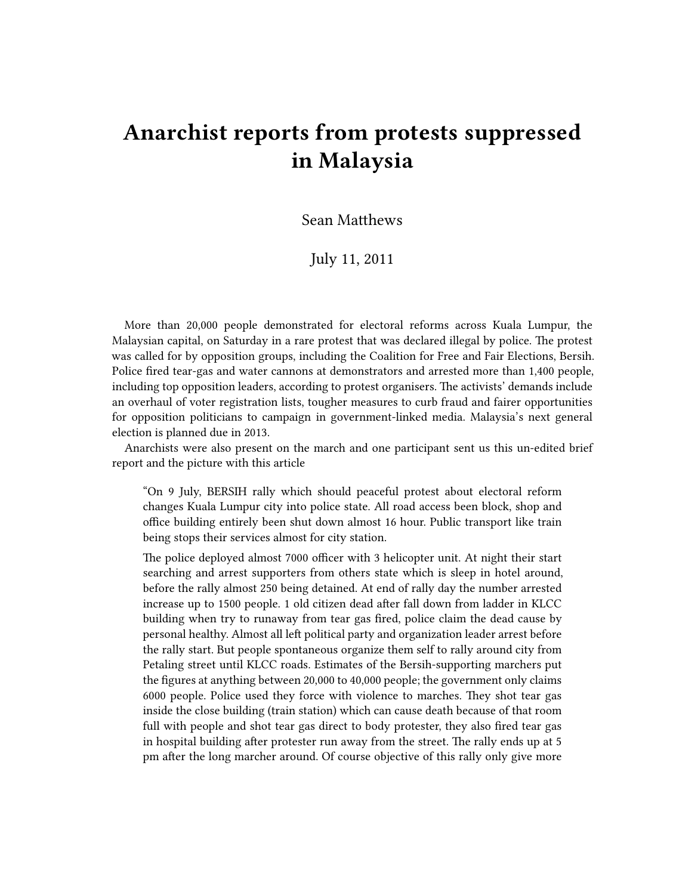## **Anarchist reports from protests suppressed in Malaysia**

Sean Matthews

July 11, 2011

More than 20,000 people demonstrated for electoral reforms across Kuala Lumpur, the Malaysian capital, on Saturday in a rare protest that was declared illegal by police. The protest was called for by opposition groups, including the Coalition for Free and Fair Elections, Bersih. Police fired tear-gas and water cannons at demonstrators and arrested more than 1,400 people, including top opposition leaders, according to protest organisers. The activists' demands include an overhaul of voter registration lists, tougher measures to curb fraud and fairer opportunities for opposition politicians to campaign in government-linked media. Malaysia's next general election is planned due in 2013.

Anarchists were also present on the march and one participant sent us this un-edited brief report and the picture with this article

"On 9 July, BERSIH rally which should peaceful protest about electoral reform changes Kuala Lumpur city into police state. All road access been block, shop and office building entirely been shut down almost 16 hour. Public transport like train being stops their services almost for city station.

The police deployed almost 7000 officer with 3 helicopter unit. At night their start searching and arrest supporters from others state which is sleep in hotel around, before the rally almost 250 being detained. At end of rally day the number arrested increase up to 1500 people. 1 old citizen dead after fall down from ladder in KLCC building when try to runaway from tear gas fired, police claim the dead cause by personal healthy. Almost all left political party and organization leader arrest before the rally start. But people spontaneous organize them self to rally around city from Petaling street until KLCC roads. Estimates of the Bersih-supporting marchers put the figures at anything between 20,000 to 40,000 people; the government only claims 6000 people. Police used they force with violence to marches. They shot tear gas inside the close building (train station) which can cause death because of that room full with people and shot tear gas direct to body protester, they also fired tear gas in hospital building after protester run away from the street. The rally ends up at 5 pm after the long marcher around. Of course objective of this rally only give more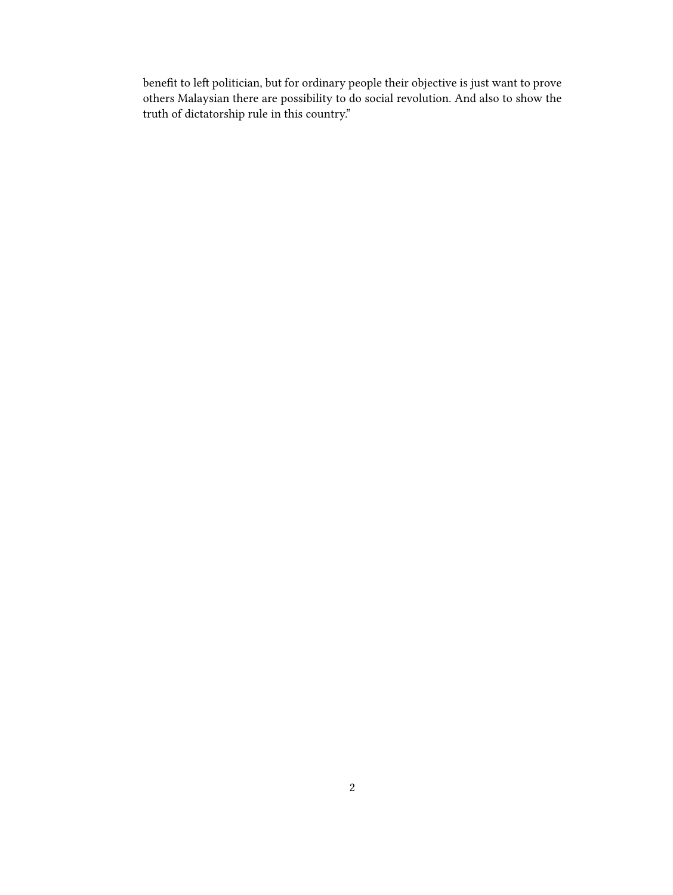benefit to left politician, but for ordinary people their objective is just want to prove others Malaysian there are possibility to do social revolution. And also to show the truth of dictatorship rule in this country."